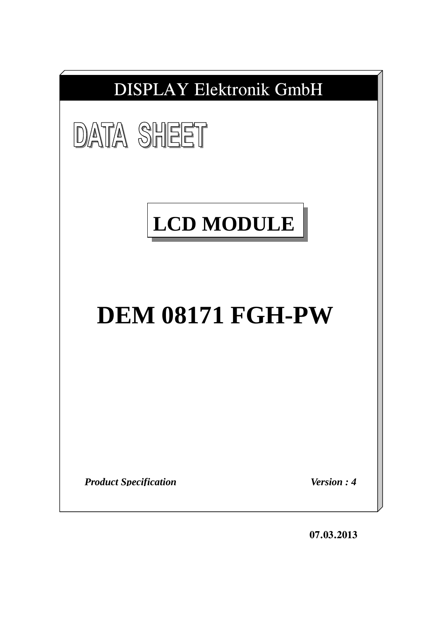

**07.03.2013**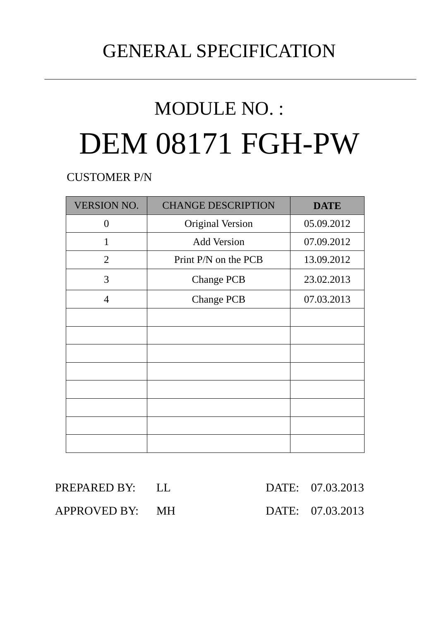# GENERAL SPECIFICATION

# MODULE NO. : DEM 08171 FGH-PW

CUSTOMER P/N

| <b>VERSION NO.</b> | <b>CHANGE DESCRIPTION</b> | <b>DATE</b> |
|--------------------|---------------------------|-------------|
| 0                  | <b>Original Version</b>   | 05.09.2012  |
| 1                  | <b>Add Version</b>        | 07.09.2012  |
| $\overline{2}$     | Print P/N on the PCB      | 13.09.2012  |
| 3                  | <b>Change PCB</b>         | 23.02.2013  |
| $\overline{4}$     | <b>Change PCB</b>         |             |
|                    |                           |             |
|                    |                           |             |
|                    |                           |             |
|                    |                           |             |
|                    |                           |             |
|                    |                           |             |
|                    |                           |             |
|                    |                           |             |

| PREPARED BY: LL |  | DATE: 07.03.2013 |
|-----------------|--|------------------|
| APPROVED BY: MH |  | DATE: 07.03.2013 |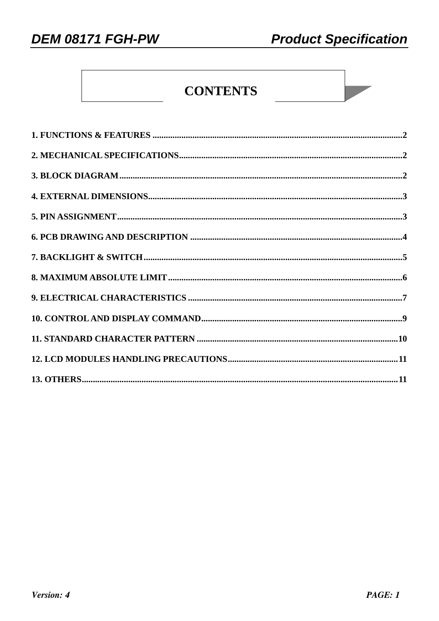**DEM 08171 FGH-PW** 

# **CONTENTS**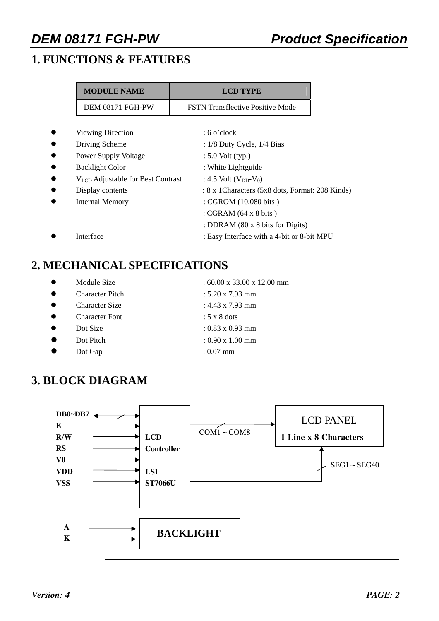# **1. FUNCTIONS & FEATURES**

| <b>MODULE NAME</b>                            | <b>LCD TYPE</b>                                  |
|-----------------------------------------------|--------------------------------------------------|
| DEM 08171 FGH-PW                              | <b>FSTN Transflective Positive Mode</b>          |
|                                               |                                                  |
| <b>Viewing Direction</b>                      | $: 6$ o'clock                                    |
| Driving Scheme                                | : $1/8$ Duty Cycle, $1/4$ Bias                   |
| <b>Power Supply Voltage</b>                   | $: 5.0$ Volt (typ.)                              |
| <b>Backlight Color</b>                        | : White Lightguide                               |
| V <sub>LCD</sub> Adjustable for Best Contrast | : 4.5 Volt $(V_{DD}-V_0)$                        |
| Display contents                              | : 8 x 1 Characters (5x8 dots, Format: 208 Kinds) |
| Internal Memory                               | : CGROM (10,080 bits)                            |
|                                               | : CGRAM $(64 \times 8 \text{ bits})$             |
|                                               | : DDRAM (80 x 8 bits for Digits)                 |
| Interface                                     | : Easy Interface with a 4-bit or 8-bit MPU       |

## **2. MECHANICAL SPECIFICATIONS**

- 
- 
- 
- 
- 
- 
- z Dot Gap : 0.07 mm
- Module Size  $: 60.00 \times 33.00 \times 12.00 \text{ mm}$
- Character Pitch : 5.20 x 7.93 mm
	- z Character Size : 4.43 x 7.93 mm
	- z Character Font : 5 x 8 dots
	- $Dot Size$  :  $0.83 \times 0.93$  mm
	- z Dot Pitch : 0.90 x 1.00 mm
- **3. BLOCK DIAGRAM**

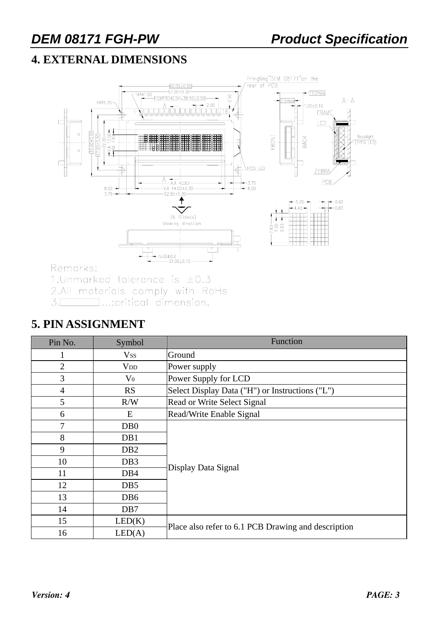# **4. EXTERNAL DIMENSIONS**



Remarks:

1. Unmarked tolerance is  $\pm 0.3$ 

2.All materials comply with RoHs

 $\Box$ ...:critical dimension.  $3.$ 

### **5. PIN ASSIGNMENT**

| Pin No.        | Symbol                 | Function                                            |  |  |  |
|----------------|------------------------|-----------------------------------------------------|--|--|--|
|                | <b>Vss</b>             | Ground                                              |  |  |  |
| $\overline{2}$ | <b>V</b> <sub>DD</sub> | Power supply                                        |  |  |  |
| 3              | $\rm V_0$              | Power Supply for LCD                                |  |  |  |
| $\overline{4}$ | RS                     | Select Display Data ("H") or Instructions ("L")     |  |  |  |
| 5              | R/W                    | Read or Write Select Signal                         |  |  |  |
| 6              | E                      | Read/Write Enable Signal                            |  |  |  |
| 7              | D <sub>B</sub> 0       |                                                     |  |  |  |
| 8              | DB1                    |                                                     |  |  |  |
| 9              | DB <sub>2</sub>        |                                                     |  |  |  |
| 10             | DB <sub>3</sub>        | Display Data Signal                                 |  |  |  |
| 11             | DB <sub>4</sub>        |                                                     |  |  |  |
| 12             | DB <sub>5</sub>        |                                                     |  |  |  |
| 13             | DB <sub>6</sub>        |                                                     |  |  |  |
| 14             | DB7                    |                                                     |  |  |  |
| 15             | LED(K)                 |                                                     |  |  |  |
| 16             | LED(A)                 | Place also refer to 6.1 PCB Drawing and description |  |  |  |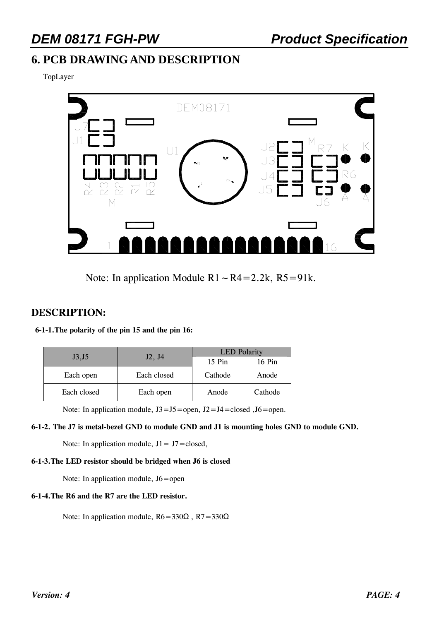# **6. PCB DRAWING AND DESCRIPTION**

TopLayer



Note: In application Module  $R1~\sim R4=2.2k$ ,  $R5=91k$ .

#### **DESCRIPTION:**

| 6-1-1. The polarity of the pin 15 and the pin 16: |
|---------------------------------------------------|
|---------------------------------------------------|

| J3,J5       |             | <b>LED</b> Polarity |         |  |  |
|-------------|-------------|---------------------|---------|--|--|
|             | J2, J4      | $15$ Pin            | 16 Pin  |  |  |
| Each open   | Each closed | Cathode<br>Anode    |         |  |  |
| Each closed | Each open   | Anode               | Cathode |  |  |

Note: In application module,  $J3 = J5$  = open,  $J2 = J4$  = closed ,  $J6$  = open.

#### **6-1-2. The J7 is metal-bezel GND to module GND and J1 is mounting holes GND to module GND.**

Note: In application module,  $J1 = J7 = closed$ ,

#### **6-1-3.The LED resistor should be bridged when J6 is closed**

Note: In application module, J6=open

#### **6-1-4.The R6 and the R7 are the LED resistor.**

Note: In application module,  $R6 = 330\Omega$ ,  $R7 = 330\Omega$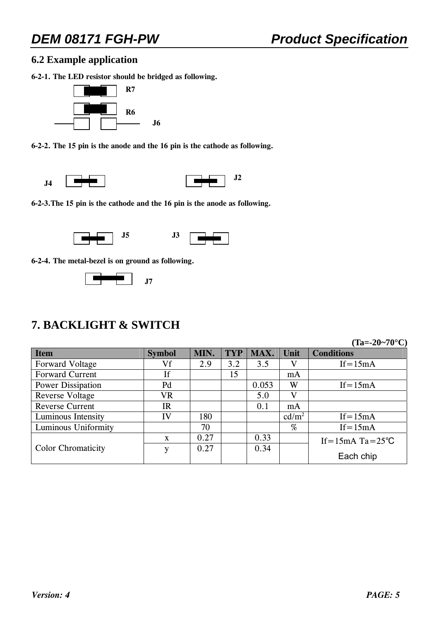#### **6.2 Example application**

**6-2-1. The LED resistor should be bridged as following.** 



**6-2-2. The 15 pin is the anode and the 16 pin is the cathode as following.** 



**6-2-3.The 15 pin is the cathode and the 16 pin is the anode as following.** 



**6-2-4. The metal-bezel is on ground as following.** 



## **7. BACKLIGHT & SWITCH**

**(Ta=-20~70°C)** 

| <b>Item</b>               | <b>Symbol</b> | MIN. | <b>TYP</b> | MAX.  | Unit              | <b>Conditions</b>              |
|---------------------------|---------------|------|------------|-------|-------------------|--------------------------------|
| Forward Voltage           | Vf            | 2.9  | 3.2        | 3.5   | V                 | $If = 15mA$                    |
| <b>Forward Current</b>    | If            |      | 15         |       | mA                |                                |
| Power Dissipation         | Pd            |      |            | 0.053 | W                 | $If = 15mA$                    |
| <b>Reverse Voltage</b>    | VR            |      |            | 5.0   | V                 |                                |
| <b>Reverse Current</b>    | <b>IR</b>     |      |            | 0.1   | mA                |                                |
| Luminous Intensity        | IV            | 180  |            |       | cd/m <sup>2</sup> | $If = 15mA$                    |
| Luminous Uniformity       |               | 70   |            |       | %                 | $If = 15mA$                    |
|                           | $\mathbf{X}$  | 0.27 |            | 0.33  |                   | If = $15mA$ Ta = $25^{\circ}C$ |
| <b>Color Chromaticity</b> | v             | 0.27 |            | 0.34  |                   |                                |
|                           |               |      |            |       |                   | Each chip                      |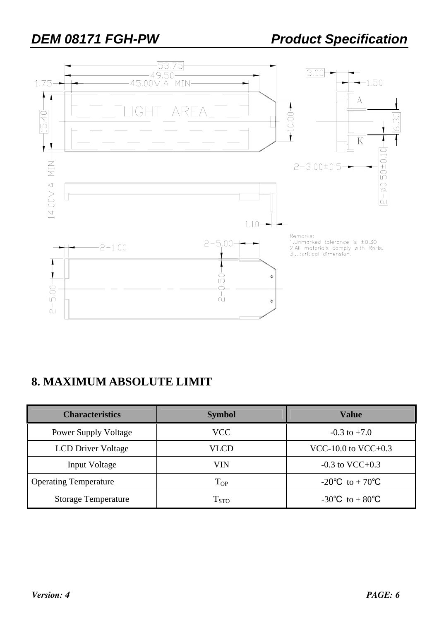

## **8. MAXIMUM ABSOLUTE LIMIT**

| <b>Characteristics</b>       | <b>Symbol</b>      | Value                   |
|------------------------------|--------------------|-------------------------|
| <b>Power Supply Voltage</b>  | <b>VCC</b>         | $-0.3$ to $+7.0$        |
| <b>LCD Driver Voltage</b>    | VLCD               | $VCC-10.0$ to $VCC+0.3$ |
| Input Voltage                | VIN                | $-0.3$ to VCC $+0.3$    |
| <b>Operating Temperature</b> | $T_{OP}$           | -20°C to + 70°C         |
| <b>Storage Temperature</b>   | $\mathrm{T_{STO}}$ | -30°C to + 80°C         |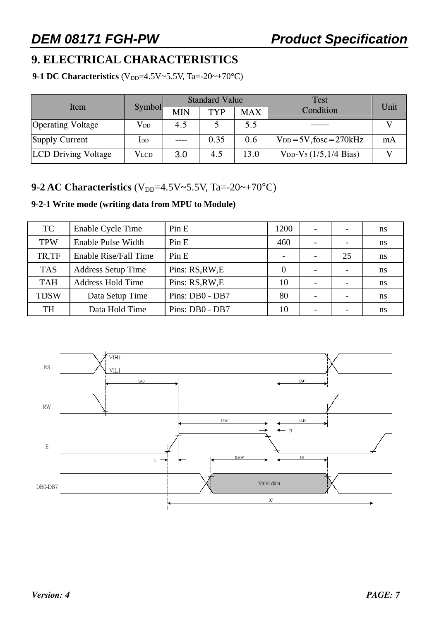# **9. ELECTRICAL CHARACTERISTICS**

**9-1 DC Characteristics**  $(V_{DD} = 4.5V \sim 5.5V, Ta = -20 \sim +70°C)$ 

|                            |               |      | <b>Standard Value</b> |            | <b>Test</b>                                | Unit |  |
|----------------------------|---------------|------|-----------------------|------------|--------------------------------------------|------|--|
| Item                       | <b>Symbol</b> | MIN  | <b>TYP</b>            | <b>MAX</b> | Condition                                  |      |  |
| <b>Operating Voltage</b>   | $\rm V_{DD}$  | 4.5  |                       | 5.5        |                                            |      |  |
| Supply Current             | $_{\rm{LDD}}$ | ---- | 0.35                  | 0.6        | $V_{DD} = 5V$ , fosc = 270kHz              | mA   |  |
| <b>LCD Driving Voltage</b> | <b>VLCD</b>   | 3.0  | 4.5                   | 13.0       | $V_{DD}$ -V <sub>5</sub> $(1/5, 1/4$ Bias) |      |  |

#### **9-2 AC Characteristics** ( $V_{DD}$ =4.5V~5.5V, Ta=-20~+70°C)

#### **9-2-1 Write mode (writing data from MPU to Module)**

| <b>TC</b>   | Enable Cycle Time         | Pin E           | 1200 | $\overline{\phantom{0}}$ | $\overline{\phantom{a}}$ | ns |
|-------------|---------------------------|-----------------|------|--------------------------|--------------------------|----|
| <b>TPW</b>  | Enable Pulse Width        | Pin E           | 460  |                          | $\overline{\phantom{a}}$ | ns |
| TR.TF       | Enable Rise/Fall Time     | Pin E           |      |                          | 25                       | ns |
| <b>TAS</b>  | <b>Address Setup Time</b> | Pins: RS, RW, E |      | $\overline{\phantom{0}}$ | $\overline{\phantom{a}}$ | ns |
| <b>TAH</b>  | <b>Address Hold Time</b>  | Pins: RS, RW, E | 10   |                          | $\overline{\phantom{0}}$ | ns |
| <b>TDSW</b> | Data Setup Time           | Pins: DB0 - DB7 | 80   |                          | $\overline{\phantom{0}}$ | ns |
| <b>TH</b>   | Data Hold Time            | Pins: DB0 - DB7 | 10   |                          |                          | ns |

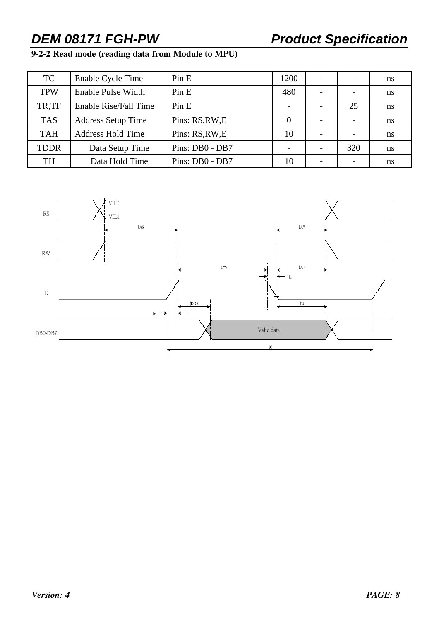### **9-2-2 Read mode (reading data from Module to MPU)**

| TC          | Enable Cycle Time            | Pin E           | 1200             |     | ns |
|-------------|------------------------------|-----------------|------------------|-----|----|
| <b>TPW</b>  | Enable Pulse Width           | Pin E           | 480              | -   | ns |
| TR,TF       | <b>Enable Rise/Fall Time</b> | Pin E           |                  | 25  | ns |
| <b>TAS</b>  | <b>Address Setup Time</b>    | Pins: RS, RW, E | $\left( \right)$ |     | ns |
| <b>TAH</b>  | <b>Address Hold Time</b>     | Pins: RS, RW, E | 10               |     | ns |
| <b>TDDR</b> | Data Setup Time              | Pins: DB0 - DB7 |                  | 320 | ns |
| <b>TH</b>   | Data Hold Time               | Pins: DB0 - DB7 | 10               |     | ns |

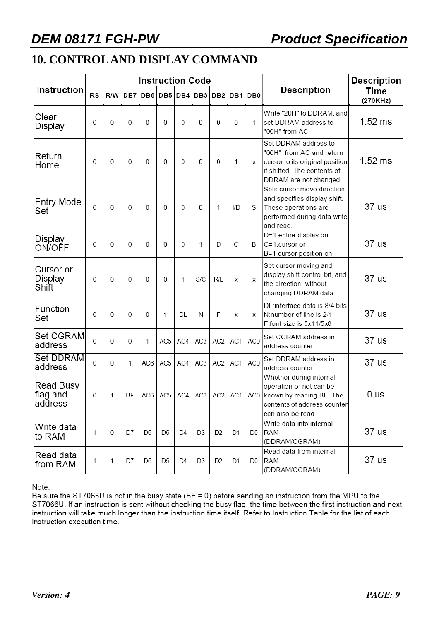# **10. CONTROL AND DISPLAY COMMAND**

|                                  |    |     |           | <b>Instruction Code</b> |                 |                |                 |                 | <b>Description</b> |                 |                                                                                                                                              |                  |  |
|----------------------------------|----|-----|-----------|-------------------------|-----------------|----------------|-----------------|-----------------|--------------------|-----------------|----------------------------------------------------------------------------------------------------------------------------------------------|------------------|--|
| Instruction                      | RS | R/W | DB7       | DB6                     |                 | DB5 DB4        | DB <sub>3</sub> | DB <sub>2</sub> | DB1                | DB <sub>0</sub> | <b>Description</b>                                                                                                                           | Time<br>(270KHz) |  |
| Clear<br>Display                 | 0  | 0   | 0         | $\theta$                | $\overline{0}$  | $\mathbf{0}$   | 0               | 0               | 0                  | 1               | Write "20H" to DDRAM, and<br>set DDRAM address to<br>"00H" from AC                                                                           | $1.52$ ms        |  |
| Return<br>Home                   | 0  | 0   | 0         | $\theta$                | $\mathbf{0}$    | 0              | 0               | $\Omega$        | 1                  | X               | Set DDRAM address to<br>"00H" from AC and return<br>cursor to its original position<br>if shifted. The contents of<br>DDRAM are not changed. | $1.52$ ms        |  |
| Entry Mode<br>Set                | 0  | 0   | 0         | 0                       | $\mathbf{0}$    | 0              | 0               | 1               | I/D                | S               | Sets cursor move direction<br>and specifies display shift.<br>These operations are<br>performed during data write<br>and read.               | 37 us            |  |
| Display<br>ON/OFF                | 0  | 0   | 0         | 0                       | $\mathbf{0}$    | 0              | 1               | D               | С                  | B               | D=1:entire display on<br>C=1:cursor on<br>B=1:cursor position on                                                                             | 37 us            |  |
| Cursor or<br>Display<br>Shift    | 0  | 0   | 0         | 0                       | $\overline{0}$  | 1              | S/C             | R/L             | x                  | х               | Set cursor moving and<br>display shift control bit, and<br>the direction, without<br>changing DDRAM data.                                    | 37 us            |  |
| Function<br>Set                  | 0  | 0   | 0         | 0                       | 1               | <b>DL</b>      | N               | F               | x                  | X               | DL:interface data is 8/4 bits<br>N:number of line is 2/1<br>F:font size is 5x11/5x8                                                          | 37 us            |  |
| Set CGRAM<br>address             | 0  | 0   | 0         | 1                       | AC <sub>5</sub> | AC4            | AC <sub>3</sub> | AC <sub>2</sub> | AC1                | AC0             | Set CGRAM address in<br>address counter                                                                                                      | 37 us            |  |
| Set DDRAM<br>address             | 0  | 0   | 1         | AC6                     | AC <sub>5</sub> | AC4            | AC3             | AC <sub>2</sub> | AC1                | AC0             | Set DDRAM address in<br>address counter                                                                                                      | 37 us            |  |
| Read Busy<br>flag and<br>address | 0  | 1   | <b>BF</b> | AC6                     | AC <sub>5</sub> | AC4            | AC <sub>3</sub> | AC <sub>2</sub> | AC1                | AC0             | Whether during internal<br>operation or not can be<br>known by reading BF. The<br>contents of address counter<br>can also be read.           | 0 us             |  |
| Write data<br>lto RAM            | 1  | 0   | D7        | D <sub>6</sub>          | D <sub>5</sub>  | D <sub>4</sub> | D3              | D <sub>2</sub>  | D1                 | D0              | Write data into internal<br><b>RAM</b><br>(DDRAM/CGRAM)                                                                                      | 37 us            |  |
| Read data<br>from RAM            | 1  | 1   | D7        | D <sub>6</sub>          | D <sub>5</sub>  | D <sub>4</sub> | D <sub>3</sub>  | D <sub>2</sub>  | D1                 | D <sub>0</sub>  | Read data from internal<br>RAM<br>(DDRAM/CGRAM)                                                                                              | 37 us            |  |

Note:

Be sure the ST7066U is not in the busy state (BF = 0) before sending an instruction from the MPU to the ST7066U. If an instruction is sent without checking the busy flag, the time between the first instruction and next instruction will take much longer than the instruction time itself. Refer to Instruction Table for the list of each instruction execution time.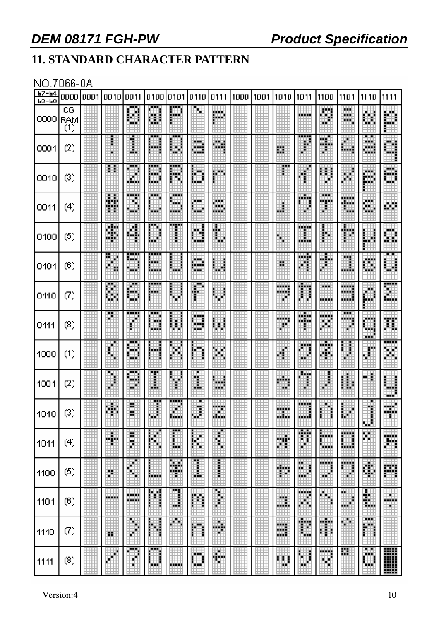# **11. STANDARD CHARACTER PATTERN**

#### NO.7066-0A

| $b7 - b4$<br>$P3-PO$ | 000010001              | 0010   | 0011                  | 0100 0101 0110 |                |                    | 10111             | 1000 1001 | 1010                   | 1011             | 1100                                                                                                                                                                                                                                        | 1101              | 1110              | 1111               |
|----------------------|------------------------|--------|-----------------------|----------------|----------------|--------------------|-------------------|-----------|------------------------|------------------|---------------------------------------------------------------------------------------------------------------------------------------------------------------------------------------------------------------------------------------------|-------------------|-------------------|--------------------|
| 0000                 | CG<br> RAM<br>$_{(1)}$ |        | H                     | Ш              | 哪              |                    | 膷                 |           |                        | ana an           | Ħ<br>u.                                                                                                                                                                                                                                     | œ<br>mini.<br>. . | ▦                 | 臘                  |
| 0001                 | $^{(2)}$               |        | I                     | <br>فلبنو      | H              | 覹<br>W.            | W.                |           | Ш                      | <b>TTT</b><br>₽  | W.                                                                                                                                                                                                                                          | ▦                 | ⋯<br>鱜<br>WЭ      | Ш                  |
| 0010                 | (3)                    | Ħ      | φŔ<br>Ħ               | œ<br>m<br>ш    | <br>₩          | H                  | 臘                 |           |                        |                  | X)<br>E<br>P.                                                                                                                                                                                                                               | Ħ.                | 膷                 | 臘                  |
| 0011                 | (4)                    | 薵      | ,,,,,<br>ÿ.<br>m      | <br>w.         | <br>翢<br>an an | man a<br>Ψ         | wan i<br>w.<br>W. |           | m                      | an ma<br>и       | H                                                                                                                                                                                                                                           | Ħ                 | mente della<br>W  | WИ                 |
| 0100                 | (5)                    | F      | 躢                     | ▦              |                | ü                  | ∰                 |           | H.                     | m<br>龖           | ₿                                                                                                                                                                                                                                           | ∯                 | Ħ                 | 臘                  |
| 0101                 | (6)                    | Ħ      | 翢<br>₩А               | سم<br>賳<br>ш   | ⊕              | 膷<br>- 5           | 翢                 |           | н                      | HH B<br>▦        | W.<br>Ò                                                                                                                                                                                                                                     | U                 | Ш                 | 躙                  |
| 0110                 | $\left( 7\right)$      | 鸜      | ш<br>H                | <br>m          |                | ₽                  | J<br>\$           |           | <b>TERRIT</b><br>,,,,, | Ħ<br>H           | ш<br>mm                                                                                                                                                                                                                                     | .<br>an B<br>und. | M                 | E                  |
| 0111                 | (8)                    |        | ł                     | an a<br>11 M   | 躙              | <b>MARKET</b><br>M | 翢                 |           | .<br>B                 | an Bain<br>HA BA | man sa bagaim<br>₩                                                                                                                                                                                                                          | ш<br>,,,,,        | .<br>- 3<br>an an | 驒                  |
| 1000                 | (1)                    | H      | ш<br>H                | ber 1          | 硼              | H                  | Ħ                 |           | ¢                      | ▊                | 睡<br>鲫                                                                                                                                                                                                                                      | ł                 | ₩                 | <br>Ħ              |
| 1001                 | $\left( 2\right)$      | 畢      | 罽<br>gji.             | Ŧ<br>I         | đ              | U                  | щ<br>ш            |           | e in p<br>a.           | 200<br>j.        | ŧ                                                                                                                                                                                                                                           | H                 | m                 | ▦<br>unit.         |
| 1010                 | (3)                    | m<br>₩ | ĕ                     | 黚              | 豳<br>₩         | ▦                  | ▦                 | ▦         | m<br>ш.                | .                |                                                                                                                                                                                                                                             | Ë                 | ŧ<br>囲            | 鱜                  |
| 1011                 | (4)                    | H      | ļ                     | 臘              | ı              | 躣                  | Î,                |           | Ħ                      | Ħ                | BW.<br>mining and street products.<br>The contract of the contract of the contract of the contract of the contract of the contract of the contract o<br>Separate of the contract of the contract of the contract of the contract of the con | ▦                 | ш                 | 躙                  |
| 1100                 | (5)                    | Ľ      | ♦                     | <b>Balder</b>  | ¥              | I                  |                   |           | $\bigoplus$            | Ш<br>w.          | mag<br>ą8                                                                                                                                                                                                                                   | ▦                 | ¢,                | 膷                  |
| 1101                 | (6)                    | .<br>₩ | 10000<br><b>HOURS</b> | 矘              | Ш              | Ħ                  |                   |           | m<br>щĒ.               | iling.<br>躢      | ↬                                                                                                                                                                                                                                           | ┅<br>ð<br>m       | 鼺                 | ш<br><b>MARKET</b> |
| 1110                 | Ø)                     | 鹽      |                       | Ħ<br>â,        | 聊              | 翢                  | Ħ                 |           | 讕                      | Ħ                | 鸍                                                                                                                                                                                                                                           | ×<br>H.           | <br>Ш             |                    |
| 1111                 | (8)                    |        | <br>۳                 | ┅<br>ш         | -----          | <b>HOLL</b>        | W.<br>н           |           | m                      | 翢<br>m           | <b>MARKET</b><br>m,                                                                                                                                                                                                                         | 罬                 | m<br>ж<br>翢       | H                  |